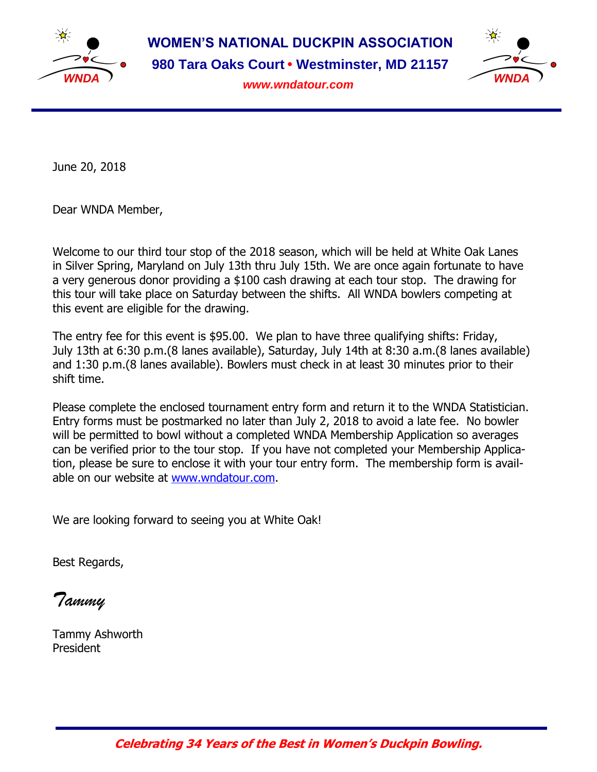

**WOMEN'S NATIONAL DUCKPIN ASSOCIATION 980 Tara Oaks Court • Westminster, MD 21157**



*www.wndatour.com*

June 20, 2018

Dear WNDA Member,

Welcome to our third tour stop of the 2018 season, which will be held at White Oak Lanes in Silver Spring, Maryland on July 13th thru July 15th. We are once again fortunate to have a very generous donor providing a \$100 cash drawing at each tour stop. The drawing for this tour will take place on Saturday between the shifts. All WNDA bowlers competing at this event are eligible for the drawing.

The entry fee for this event is \$95.00. We plan to have three qualifying shifts: Friday, July 13th at 6:30 p.m.(8 lanes available), Saturday, July 14th at 8:30 a.m.(8 lanes available) and 1:30 p.m.(8 lanes available). Bowlers must check in at least 30 minutes prior to their shift time.

Please complete the enclosed tournament entry form and return it to the WNDA Statistician. Entry forms must be postmarked no later than July 2, 2018 to avoid a late fee. No bowler will be permitted to bowl without a completed WNDA Membership Application so averages can be verified prior to the tour stop. If you have not completed your Membership Application, please be sure to enclose it with your tour entry form. The membership form is available on our website at [www.wndatour.com.](http://www.wndatour.com/)

We are looking forward to seeing you at White Oak!

Best Regards,

*Tammy*

Tammy Ashworth President